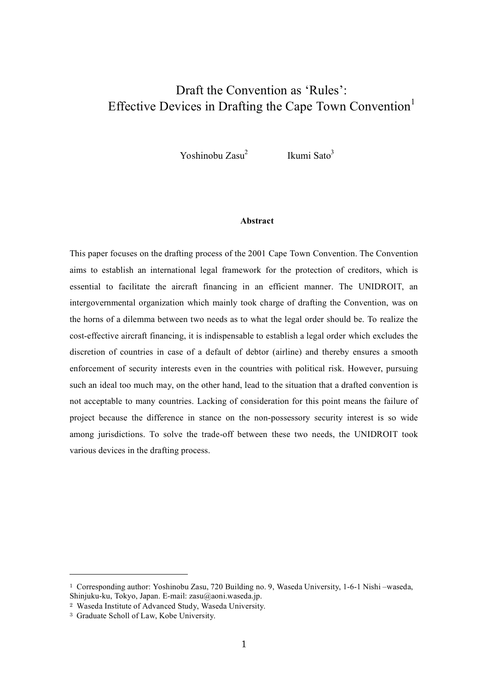# Draft the Convention as 'Rules': Effective Devices in Drafting the Cape Town Convention<sup>1</sup>

Yoshinobu Zasu<sup>2</sup> Ikumi Sato<sup>3</sup>

## **Abstract**

This paper focuses on the drafting process of the 2001 Cape Town Convention. The Convention aims to establish an international legal framework for the protection of creditors, which is essential to facilitate the aircraft financing in an efficient manner. The UNIDROIT, an intergovernmental organization which mainly took charge of drafting the Convention, was on the horns of a dilemma between two needs as to what the legal order should be. To realize the cost-effective aircraft financing, it is indispensable to establish a legal order which excludes the discretion of countries in case of a default of debtor (airline) and thereby ensures a smooth enforcement of security interests even in the countries with political risk. However, pursuing such an ideal too much may, on the other hand, lead to the situation that a drafted convention is not acceptable to many countries. Lacking of consideration for this point means the failure of project because the difference in stance on the non-possessory security interest is so wide among jurisdictions. To solve the trade-off between these two needs, the UNIDROIT took various devices in the drafting process.

<sup>1</sup> Corresponding author: Yoshinobu Zasu, 720 Building no. 9, Waseda University, 1-6-1 Nishi –waseda, Shinjuku-ku, Tokyo, Japan. E-mail: zasu@aoni.waseda.jp.

<sup>2</sup> Waseda Institute of Advanced Study, Waseda University.

<sup>3</sup> Graduate Scholl of Law, Kobe University.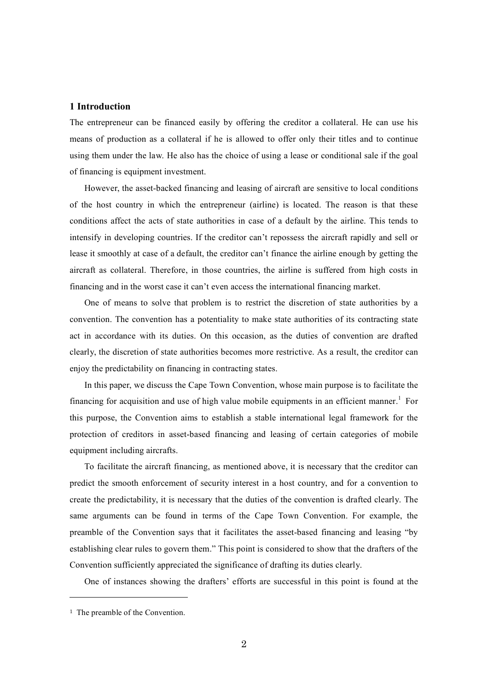# **1 Introduction**

The entrepreneur can be financed easily by offering the creditor a collateral. He can use his means of production as a collateral if he is allowed to offer only their titles and to continue using them under the law. He also has the choice of using a lease or conditional sale if the goal of financing is equipment investment.

However, the asset-backed financing and leasing of aircraft are sensitive to local conditions of the host country in which the entrepreneur (airline) is located. The reason is that these conditions affect the acts of state authorities in case of a default by the airline. This tends to intensify in developing countries. If the creditor can't repossess the aircraft rapidly and sell or lease it smoothly at case of a default, the creditor can't finance the airline enough by getting the aircraft as collateral. Therefore, in those countries, the airline is suffered from high costs in financing and in the worst case it can't even access the international financing market.

One of means to solve that problem is to restrict the discretion of state authorities by a convention. The convention has a potentiality to make state authorities of its contracting state act in accordance with its duties. On this occasion, as the duties of convention are drafted clearly, the discretion of state authorities becomes more restrictive. As a result, the creditor can enjoy the predictability on financing in contracting states.

In this paper, we discuss the Cape Town Convention, whose main purpose is to facilitate the financing for acquisition and use of high value mobile equipments in an efficient manner.<sup>1</sup> For this purpose, the Convention aims to establish a stable international legal framework for the protection of creditors in asset-based financing and leasing of certain categories of mobile equipment including aircrafts.

To facilitate the aircraft financing, as mentioned above, it is necessary that the creditor can predict the smooth enforcement of security interest in a host country, and for a convention to create the predictability, it is necessary that the duties of the convention is drafted clearly. The same arguments can be found in terms of the Cape Town Convention. For example, the preamble of the Convention says that it facilitates the asset-based financing and leasing "by establishing clear rules to govern them." This point is considered to show that the drafters of the Convention sufficiently appreciated the significance of drafting its duties clearly.

One of instances showing the drafters' efforts are successful in this point is found at the

<sup>&</sup>lt;sup>1</sup> The preamble of the Convention.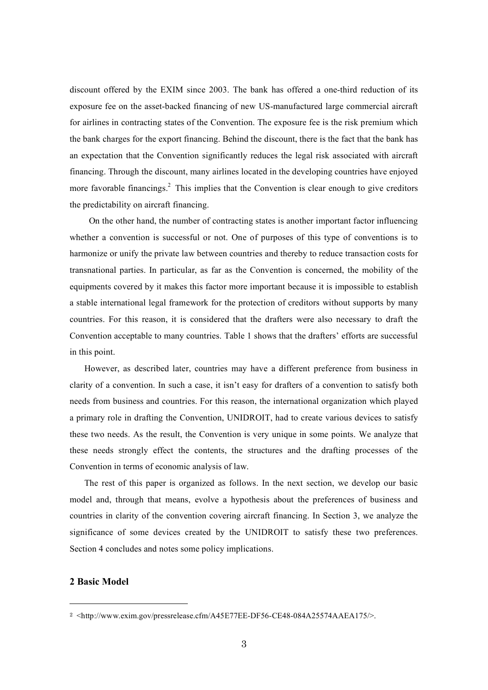discount offered by the EXIM since 2003. The bank has offered a one-third reduction of its exposure fee on the asset-backed financing of new US-manufactured large commercial aircraft for airlines in contracting states of the Convention. The exposure fee is the risk premium which the bank charges for the export financing. Behind the discount, there is the fact that the bank has an expectation that the Convention significantly reduces the legal risk associated with aircraft financing. Through the discount, many airlines located in the developing countries have enjoyed more favorable financings.<sup>2</sup> This implies that the Convention is clear enough to give creditors the predictability on aircraft financing.

On the other hand, the number of contracting states is another important factor influencing whether a convention is successful or not. One of purposes of this type of conventions is to harmonize or unify the private law between countries and thereby to reduce transaction costs for transnational parties. In particular, as far as the Convention is concerned, the mobility of the equipments covered by it makes this factor more important because it is impossible to establish a stable international legal framework for the protection of creditors without supports by many countries. For this reason, it is considered that the drafters were also necessary to draft the Convention acceptable to many countries. Table 1 shows that the drafters' efforts are successful in this point.

However, as described later, countries may have a different preference from business in clarity of a convention. In such a case, it isn't easy for drafters of a convention to satisfy both needs from business and countries. For this reason, the international organization which played a primary role in drafting the Convention, UNIDROIT, had to create various devices to satisfy these two needs. As the result, the Convention is very unique in some points. We analyze that these needs strongly effect the contents, the structures and the drafting processes of the Convention in terms of economic analysis of law.

The rest of this paper is organized as follows. In the next section, we develop our basic model and, through that means, evolve a hypothesis about the preferences of business and countries in clarity of the convention covering aircraft financing. In Section 3, we analyze the significance of some devices created by the UNIDROIT to satisfy these two preferences. Section 4 concludes and notes some policy implications.

# **2 Basic Model**

<sup>2</sup> <http://www.exim.gov/pressrelease.cfm/A45E77EE-DF56-CE48-084A25574AAEA175/>.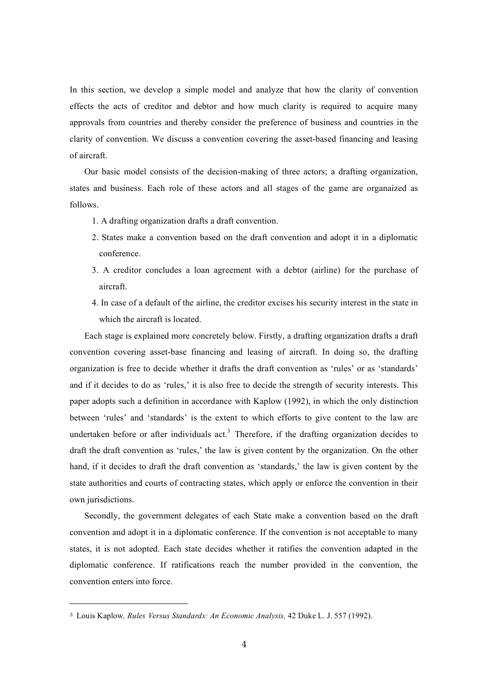In this section, we develop a simple model and analyze that how the clarity of convention effects the acts of creditor and debtor and how much clarity is required to acquire many approvals from countries and thereby consider the preference of business and countries in the clarity of convention. We discuss a convention covering the asset-based financing and leasing of aircraft.

Our basic model consists of the decision-making of three actors; a drafting organization, states and business. Each role of these actors and all stages of the game are organaized as follows.

- 1. A drafting organization drafts a draft convention.
- 2. States make a convention based on the draft convention and adopt it in a diplomatic conference.
- 3. A creditor concludes a loan agreement with a debtor (airline) for the purchase of aircraft.
- 4. In case of a default of the airline, the creditor excises his security interest in the state in which the aircraft is located.

Each stage is explained more concretely below. Firstly, a drafting organization drafts a draft convention covering asset-base financing and leasing of aircraft. In doing so, the drafting organization is free to decide whether it drafts the draft convention as 'rules' or as 'standards' and if it decides to do as 'rules,' it is also free to decide the strength of security interests. This paper adopts such a definition in accordance with Kaplow (1992), in which the only distinction between 'rules' and 'standards' is the extent to which efforts to give content to the law are undertaken before or after individuals act.<sup>3</sup> Therefore, if the drafting organization decides to draft the draft convention as 'rules,' the law is given content by the organization. On the other hand, if it decides to draft the draft convention as 'standards,' the law is given content by the state authorities and courts of contracting states, which apply or enforce the convention in their own jurisdictions.

Secondly, the government delegates of each State make a convention based on the draft convention and adopt it in a diplomatic conference. If the convention is not acceptable to many states, it is not adopted. Each state decides whether it ratifies the convention adapted in the diplomatic conference. If ratifications reach the number provided in the convention, the convention enters into force.

<sup>3</sup> Louis Kaplow*, Rules Versus Standards: An Economic Analysis,* 42 Duke L. J. 557 (1992).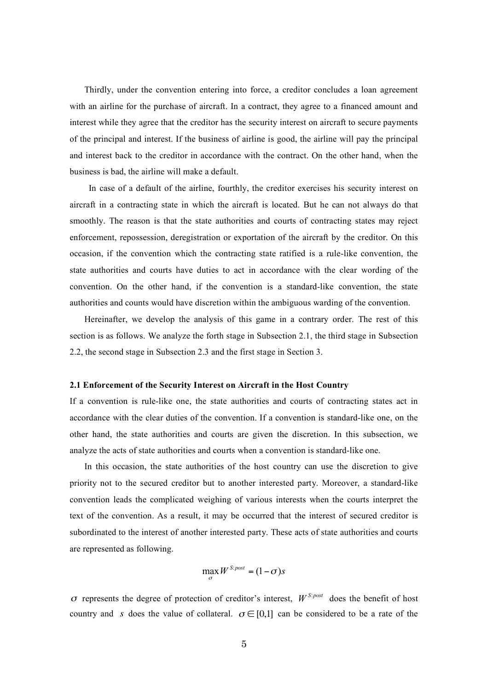Thirdly, under the convention entering into force, a creditor concludes a loan agreement with an airline for the purchase of aircraft. In a contract, they agree to a financed amount and interest while they agree that the creditor has the security interest on aircraft to secure payments of the principal and interest. If the business of airline is good, the airline will pay the principal and interest back to the creditor in accordance with the contract. On the other hand, when the business is bad, the airline will make a default.

In case of a default of the airline, fourthly, the creditor exercises his security interest on aircraft in a contracting state in which the aircraft is located. But he can not always do that smoothly. The reason is that the state authorities and courts of contracting states may reject enforcement, repossession, deregistration or exportation of the aircraft by the creditor. On this occasion, if the convention which the contracting state ratified is a rule-like convention, the state authorities and courts have duties to act in accordance with the clear wording of the convention. On the other hand, if the convention is a standard-like convention, the state authorities and counts would have discretion within the ambiguous warding of the convention.

Hereinafter, we develop the analysis of this game in a contrary order. The rest of this section is as follows. We analyze the forth stage in Subsection 2.1, the third stage in Subsection 2.2, the second stage in Subsection 2.3 and the first stage in Section 3.

#### **2.1 Enforcement of the Security Interest on Aircraft in the Host Country**

If a convention is rule-like one, the state authorities and courts of contracting states act in accordance with the clear duties of the convention. If a convention is standard-like one, on the other hand, the state authorities and courts are given the discretion. In this subsection, we analyze the acts of state authorities and courts when a convention is standard-like one.

In this occasion, the state authorities of the host country can use the discretion to give priority not to the secured creditor but to another interested party. Moreover, a standard-like convention leads the complicated weighing of various interests when the courts interpret the text of the convention. As a result, it may be occurred that the interest of secured creditor is subordinated to the interest of another interested party. These acts of state authorities and courts are represented as following.

$$
\max_{\sigma} W^{S:post} = (1 - \sigma)s
$$

 $\sigma$  represents the degree of protection of creditor's interest,  $W^{S:post}$  does the benefit of host country and s does the value of collateral.  $\sigma \in [0,1]$  can be considered to be a rate of the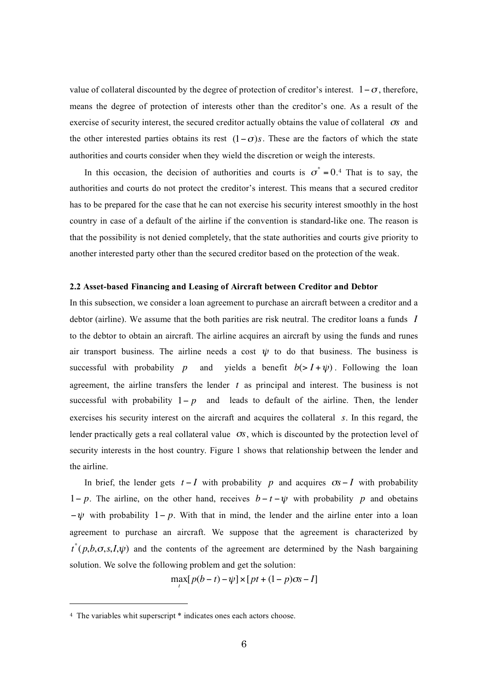value of collateral discounted by the degree of protection of creditor's interest.  $1 - \sigma$ , therefore, .<br>∴ means the degree of protection of interests other than the creditor's one. As a result of the exercise of security interest, the secured creditor actually obtains the value of collateral  $\sigma s$  and the other interested parties obtains its rest  $(1 - \sigma)s$ . These are the factors of which the state authorities and courts consider when they wield the discretion or weigh the interests.

authorities and courts do not protect the creditor's interest. This means that a secured creditor In this occasion, the decision of authorities and courts is  $\sigma^* = 0.4$  That is to say, the ! has to be prepared for the case that he can not exercise his security interest smoothly in the host country in case of a default of the airline if the convention is standard-like one. The reason is that the possibility is not denied completely, that the state authorities and courts give priority to another interested party other than the secured creditor based on the protection of the weak.

#### **2.2 Asset-based Financing and Leasing of Aircraft between Creditor and Debtor**

In this subsection, we consider a loan agreement to purchase an aircraft between a creditor and a debtor (airline). We assume that the both parities are risk neutral. The creditor loans a funds *I* to the debtor to obtain an aircraft. The airline acquires an aircraft by using the funds and runes air transport business. The airline needs a cost  $\psi$  to do that business. The business is successful with probability  $1-p$  and leads to default of the airline. Then, the lender successful with probability p and yields a benefit  $b(> I + \psi)$ . Following the loan ! ! exercises his security interest on the aircraft and acquires the collateral *s*. In this regard, the agreement, the airline transfers the lender *t* as principal and interest. The business is not lender practically gets a real collateral value  $\sigma s$ , which is discounted by the protection level of security interests in the host country. Figure 1 shows that relationship between the lender and the airline.

! In brief, the lender gets  $t - I$  with probability p and acquires  $\sigma s - I$  with probability extending to purchase an aircraft. We suppose that the agreement is characterized by 1- p. The airline, on the other hand, receives  $b - t - \psi$  with probability p and obetains ! !  $-\psi$  with probability  $1-p$ . With that in mind, the lender and the airline enter into a loan solution. We solve the following problem and get the solution:  $t^{*}(p,b,\sigma,s,I,\psi)$  and the contents of the agreement are determined by the Nash bargaining

 $\max_{t} [p(b-t) - \psi] \times [pt + (1-p)\sigma s - I]$ 

<sup>4</sup> The variables whit superscript \* indicates ones each actors choose.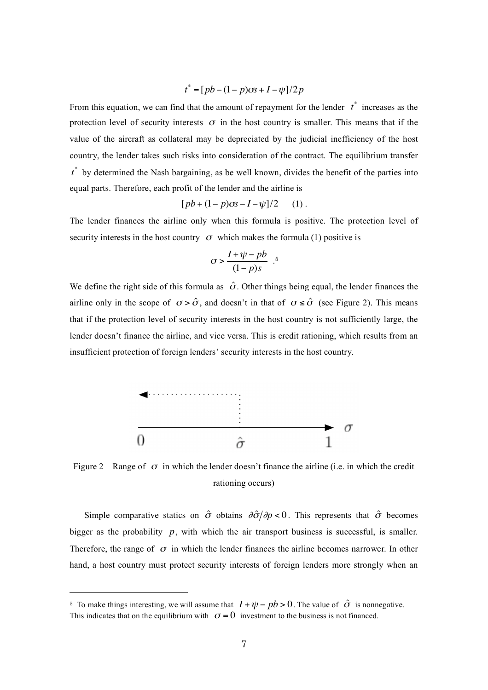$$
t^* = [pb - (1 - p)\sigma s + I - \psi]/2p
$$

! value of the aircraft as collateral may be depreciated by the judicial inefficiency of the host From this equation, we can find that the amount of repayment for the lender  $t^*$  increases as the protection level of security interests  $\sigma$  in the host country is smaller. This means that if the country, the lender takes such risks into consideration of the contract. The equilibrium transfer *t* \* by determined the Nash bargaining, as be well known, divides the benefit of the parties into equal parts. Therefore, each profit of the lender and the airline is

$$
[pb + (1-p)\sigma s - I - \psi]/2 \quad (1).
$$

The lender finances the airline only when this formula is positive. The protection level of security interests in the host country  $\sigma$  which makes the formula (1) positive is

$$
\sigma > \frac{I + \psi - pb}{(1 - p)s} .5
$$

.<br>.<br>. We define the right side of this formula as  $\hat{\sigma}$ . Other things being equal, the lender finances the airline only in the scope of  $\sigma > \hat{\sigma}$ , and doesn't in that of  $\sigma \leq \hat{\sigma}$  (see Figure 2). This means e de la construcción de la construcción de la construcción de la construcción de la construcción de la construcción<br>En la construcción de la construcción de la construcción de la construcción de la construcción de la const that if the protection level of security interests in the host country is not sufficiently large, the lender doesn't finance the airline, and vice versa. This is credit rationing, which results from an insufficient protection of foreign lenders' security interests in the host country.



Figure 2 Range of  $\sigma$  in which the lender doesn't finance the airline (i.e. in which the credit rationing occurs)

Simple comparative statics on  $\hat{\sigma}$  obtains  $\partial \hat{\sigma}/\partial p < 0$ . This represents that  $\hat{\sigma}$  becomes ! ! hand, a host country must protect security interests of foreign lenders more strongly when an bigger as the probability  $p$ , with which the air transport business is successful, is smaller. Therefore, the range of  $\sigma$  in which the lender finances the airline becomes narrower. In other

!

<sup>&</sup>lt;sup>5</sup> To make things interesting, we will assume that  $I + \psi - pb > 0$ . The value of  $\hat{\sigma}$  is nonnegative.

This indicates that on the equilibrium with  $\sigma = 0$  investment to the business is not financed.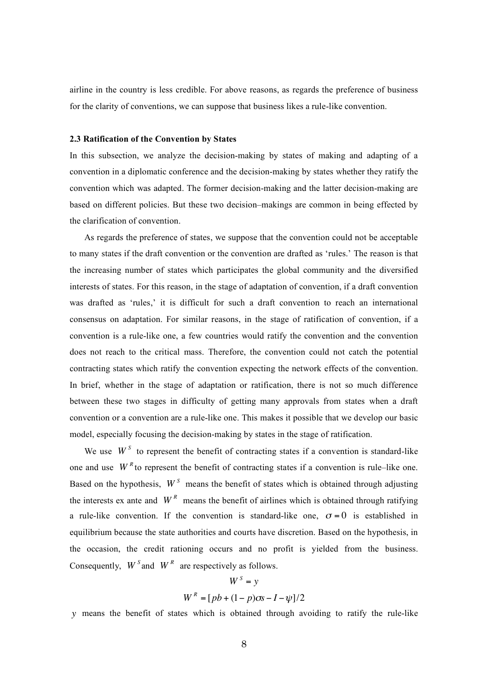airline in the country is less credible. For above reasons, as regards the preference of business for the clarity of conventions, we can suppose that business likes a rule-like convention.

## **2.3 Ratification of the Convention by States**

In this subsection, we analyze the decision-making by states of making and adapting of a convention in a diplomatic conference and the decision-making by states whether they ratify the convention which was adapted. The former decision-making and the latter decision-making are based on different policies. But these two decision–makings are common in being effected by the clarification of convention.

As regards the preference of states, we suppose that the convention could not be acceptable to many states if the draft convention or the convention are drafted as 'rules.' The reason is that the increasing number of states which participates the global community and the diversified interests of states. For this reason, in the stage of adaptation of convention, if a draft convention was drafted as 'rules,' it is difficult for such a draft convention to reach an international consensus on adaptation. For similar reasons, in the stage of ratification of convention, if a convention is a rule-like one, a few countries would ratify the convention and the convention does not reach to the critical mass. Therefore, the convention could not catch the potential contracting states which ratify the convention expecting the network effects of the convention. In brief, whether in the stage of adaptation or ratification, there is not so much difference between these two stages in difficulty of getting many approvals from states when a draft convention or a convention are a rule-like one. This makes it possible that we develop our basic model, especially focusing the decision-making by states in the stage of ratification.

We use  $W^S$  to represent the benefit of contracting states if a convention is standard-like one and use  $W^R$  to represent the benefit of contracting states if a convention is rule–like one. Based on the hypothesis,  $W<sup>S</sup>$  means the benefit of states which is obtained through adjusting the interests ex ante and  $W<sup>R</sup>$  means the benefit of airlines which is obtained through ratifying .<br>∷ . a rule-like convention. If the convention is standard-like one,  $\sigma = 0$  is established in equilibrium because the state authorities and courts have discretion. Based on the hypothesis, in the occasion, the credit rationing occurs and no profit is yielded from the business. Consequently,  $W^S$  and  $W^R$  are respectively as follows.

$$
WS = y
$$
  
W<sup>R</sup> =  $[pb + (1-p)\sigma s - I - \psi]/2$ 

! ! *y* means the benefit of states which is obtained through avoiding to ratify the rule-like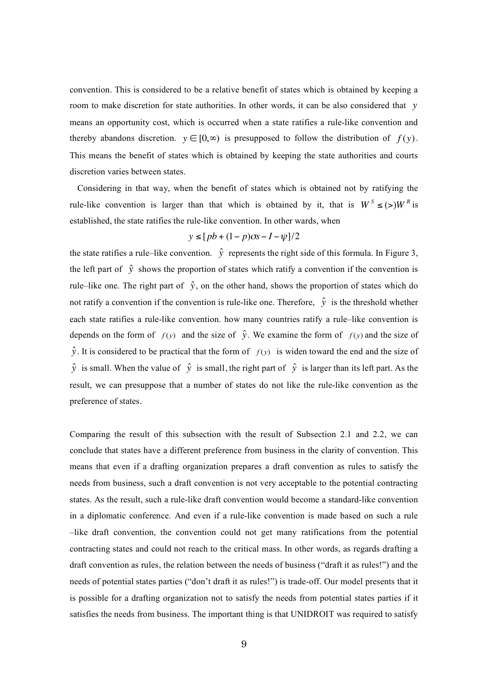convention. This is considered to be a relative benefit of states which is obtained by keeping a room to make discretion for state authorities. In other words, it can be also considered that *y* ! This means the benefit of states which is obtained by keeping the state authorities and courts means an opportunity cost, which is occurred when a state ratifies a rule-like convention and thereby abandons discretion.  $y \in [0, \infty)$  is presupposed to follow the distribution of  $f(y)$ . discretion varies between states.

! ! Considering in that way, when the benefit of states which is obtained not by ratifying the rule-like convention is larger than that which is obtained by it, that is  $W^S \leq (>)W^R$  is established, the state ratifies the rule-like convention. In other wards, when

$$
y \le [pb + (1-p)\sigma s - I - \psi]/2
$$

the state ratifies a rule–like convention.  $\hat{y}$  represents the right side of this formula. In Figure 3, rule–like one. The right part of  $\hat{y}$ , on the other hand, shows the proportion of states which do not ratify a convention if the convention is rule-like one. Therefore,  $\hat{y}$  is the threshold whether the left part of  $\hat{y}$  shows the proportion of states which ratify a convention if the convention is ! each state ratifies a rule-like convention. how many countries ratify a rule–like convention is depends on the form of  $f(y)$  and the size of  $\hat{y}$ . We examine the form of  $f(y)$  and the size of  $\hat{y}$ . It is considered to be practical that the form of  $f(y)$  is widen toward the end and the size of ! result, we can presuppose that a number of states do not like the rule-like convention as the  $\hat{y}$  is small. When the value of  $\hat{y}$  is small, the right part of  $\hat{y}$  is larger than its left part. As the preference of states.

Comparing the result of this subsection with the result of Subsection 2.1 and 2.2, we can conclude that states have a different preference from business in the clarity of convention. This means that even if a drafting organization prepares a draft convention as rules to satisfy the needs from business, such a draft convention is not very acceptable to the potential contracting states. As the result, such a rule-like draft convention would become a standard-like convention in a diplomatic conference. And even if a rule-like convention is made based on such a rule –like draft convention, the convention could not get many ratifications from the potential contracting states and could not reach to the critical mass. In other words, as regards drafting a draft convention as rules, the relation between the needs of business ("draft it as rules!") and the needs of potential states parties ("don't draft it as rules!") is trade-off. Our model presents that it is possible for a drafting organization not to satisfy the needs from potential states parties if it satisfies the needs from business. The important thing is that UNIDROIT was required to satisfy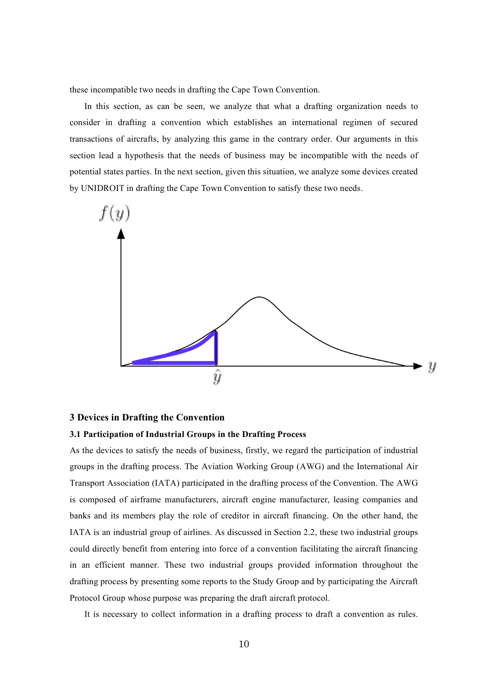these incompatible two needs in drafting the Cape Town Convention.

In this section, as can be seen, we analyze that what a drafting organization needs to consider in drafting a convention which establishes an international regimen of secured transactions of aircrafts, by analyzing this game in the contrary order. Our arguments in this section lead a hypothesis that the needs of business may be incompatible with the needs of potential states parties. In the next section, given this situation, we analyze some devices created by UNIDROIT in drafting the Cape Town Convention to satisfy these two needs.



## **3 Devices in Drafting the Convention**

#### **3.1 Participation of Industrial Groups in the Drafting Process**

As the devices to satisfy the needs of business, firstly, we regard the participation of industrial groups in the drafting process. The Aviation Working Group (AWG) and the International Air Transport Association (IATA) participated in the drafting process of the Convention. The AWG is composed of airframe manufacturers, aircraft engine manufacturer, leasing companies and banks and its members play the role of creditor in aircraft financing. On the other hand, the IATA is an industrial group of airlines. As discussed in Section 2.2, these two industrial groups could directly benefit from entering into force of a convention facilitating the aircraft financing in an efficient manner. These two industrial groups provided information throughout the drafting process by presenting some reports to the Study Group and by participating the Aircraft Protocol Group whose purpose was preparing the draft aircraft protocol.

It is necessary to collect information in a drafting process to draft a convention as rules.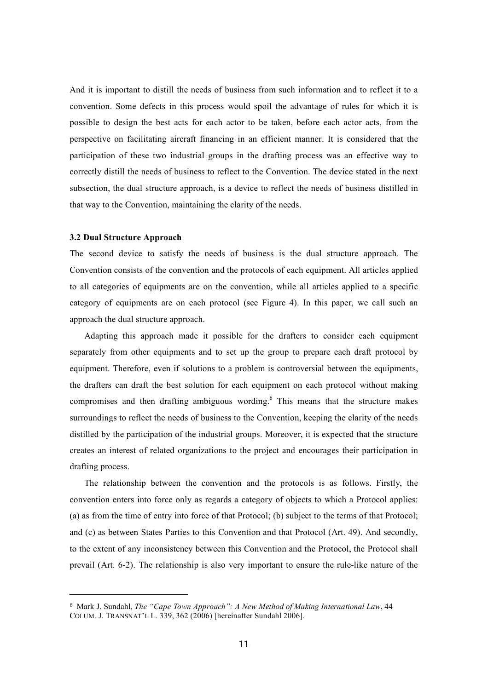And it is important to distill the needs of business from such information and to reflect it to a convention. Some defects in this process would spoil the advantage of rules for which it is possible to design the best acts for each actor to be taken, before each actor acts, from the perspective on facilitating aircraft financing in an efficient manner. It is considered that the participation of these two industrial groups in the drafting process was an effective way to correctly distill the needs of business to reflect to the Convention. The device stated in the next subsection, the dual structure approach, is a device to reflect the needs of business distilled in that way to the Convention, maintaining the clarity of the needs.

## **3.2 Dual Structure Approach**

l

The second device to satisfy the needs of business is the dual structure approach. The Convention consists of the convention and the protocols of each equipment. All articles applied to all categories of equipments are on the convention, while all articles applied to a specific category of equipments are on each protocol (see Figure 4). In this paper, we call such an approach the dual structure approach.

Adapting this approach made it possible for the drafters to consider each equipment separately from other equipments and to set up the group to prepare each draft protocol by equipment. Therefore, even if solutions to a problem is controversial between the equipments, the drafters can draft the best solution for each equipment on each protocol without making compromises and then drafting ambiguous wording. <sup>6</sup> This means that the structure makes surroundings to reflect the needs of business to the Convention, keeping the clarity of the needs distilled by the participation of the industrial groups. Moreover, it is expected that the structure creates an interest of related organizations to the project and encourages their participation in drafting process.

The relationship between the convention and the protocols is as follows. Firstly, the convention enters into force only as regards a category of objects to which a Protocol applies: (a) as from the time of entry into force of that Protocol; (b) subject to the terms of that Protocol; and (c) as between States Parties to this Convention and that Protocol (Art. 49). And secondly, to the extent of any inconsistency between this Convention and the Protocol, the Protocol shall prevail (Art. 6-2). The relationship is also very important to ensure the rule-like nature of the

<sup>6</sup> Mark J. Sundahl, *The "Cape Town Approach": A New Method of Making International Law*, 44 COLUM. J. TRANSNAT'L L.  $339, 362$  ( $2006$ ) [hereinafter Sundahl  $2006$ ].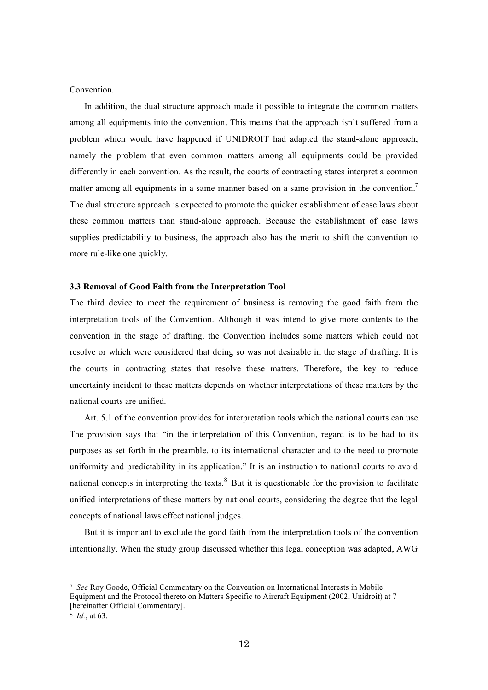Convention.

In addition, the dual structure approach made it possible to integrate the common matters among all equipments into the convention. This means that the approach isn't suffered from a problem which would have happened if UNIDROIT had adapted the stand-alone approach, namely the problem that even common matters among all equipments could be provided differently in each convention. As the result, the courts of contracting states interpret a common matter among all equipments in a same manner based on a same provision in the convention.<sup>7</sup> The dual structure approach is expected to promote the quicker establishment of case laws about these common matters than stand-alone approach. Because the establishment of case laws supplies predictability to business, the approach also has the merit to shift the convention to more rule-like one quickly.

#### **3.3 Removal of Good Faith from the Interpretation Tool**

The third device to meet the requirement of business is removing the good faith from the interpretation tools of the Convention. Although it was intend to give more contents to the convention in the stage of drafting, the Convention includes some matters which could not resolve or which were considered that doing so was not desirable in the stage of drafting. It is the courts in contracting states that resolve these matters. Therefore, the key to reduce uncertainty incident to these matters depends on whether interpretations of these matters by the national courts are unified.

Art. 5.1 of the convention provides for interpretation tools which the national courts can use. The provision says that "in the interpretation of this Convention, regard is to be had to its purposes as set forth in the preamble, to its international character and to the need to promote uniformity and predictability in its application." It is an instruction to national courts to avoid national concepts in interpreting the texts. $8$  But it is questionable for the provision to facilitate unified interpretations of these matters by national courts, considering the degree that the legal concepts of national laws effect national judges.

But it is important to exclude the good faith from the interpretation tools of the convention intentionally. When the study group discussed whether this legal conception was adapted, AWG

<sup>7</sup> *See* Roy Goode, Official Commentary on the Convention on International Interests in Mobile Equipment and the Protocol thereto on Matters Specific to Aircraft Equipment (2002, Unidroit) at 7 [hereinafter Official Commentary].

<sup>8</sup> *Id.*, at 63.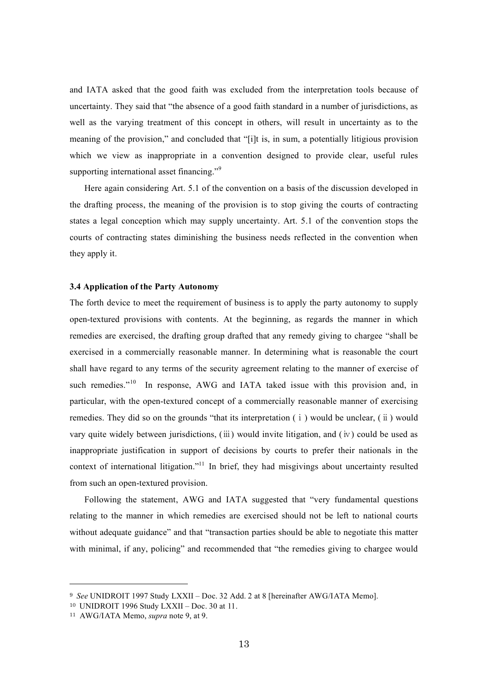and IATA asked that the good faith was excluded from the interpretation tools because of uncertainty. They said that "the absence of a good faith standard in a number of jurisdictions, as well as the varying treatment of this concept in others, will result in uncertainty as to the meaning of the provision," and concluded that "[i]t is, in sum, a potentially litigious provision which we view as inappropriate in a convention designed to provide clear, useful rules supporting international asset financing."<sup>9</sup>

Here again considering Art. 5.1 of the convention on a basis of the discussion developed in the drafting process, the meaning of the provision is to stop giving the courts of contracting states a legal conception which may supply uncertainty. Art. 5.1 of the convention stops the courts of contracting states diminishing the business needs reflected in the convention when they apply it.

### **3.4 Application of the Party Autonomy**

The forth device to meet the requirement of business is to apply the party autonomy to supply open-textured provisions with contents. At the beginning, as regards the manner in which remedies are exercised, the drafting group drafted that any remedy giving to chargee "shall be exercised in a commercially reasonable manner. In determining what is reasonable the court shall have regard to any terms of the security agreement relating to the manner of exercise of such remedies."<sup>10</sup> In response, AWG and IATA taked issue with this provision and, in particular, with the open-textured concept of a commercially reasonable manner of exercising remedies. They did so on the grounds "that its interpretation (ⅰ) would be unclear, (ⅱ) would vary quite widely between jurisdictions, (ⅲ) would invite litigation, and (ⅳ) could be used as inappropriate justification in support of decisions by courts to prefer their nationals in the context of international litigation."<sup>11</sup> In brief, they had misgivings about uncertainty resulted from such an open-textured provision.

Following the statement, AWG and IATA suggested that "very fundamental questions relating to the manner in which remedies are exercised should not be left to national courts without adequate guidance" and that "transaction parties should be able to negotiate this matter with minimal, if any, policing" and recommended that "the remedies giving to chargee would

<sup>9</sup> *See* UNIDROIT 1997 Study LXXII – Doc. 32 Add. 2 at 8 [hereinafter AWG/IATA Memo].

<sup>10</sup> UNIDROIT 1996 Study LXXII – Doc. 30 at 11.

<sup>11</sup> AWG/IATA Memo, *supra* note 9, at 9.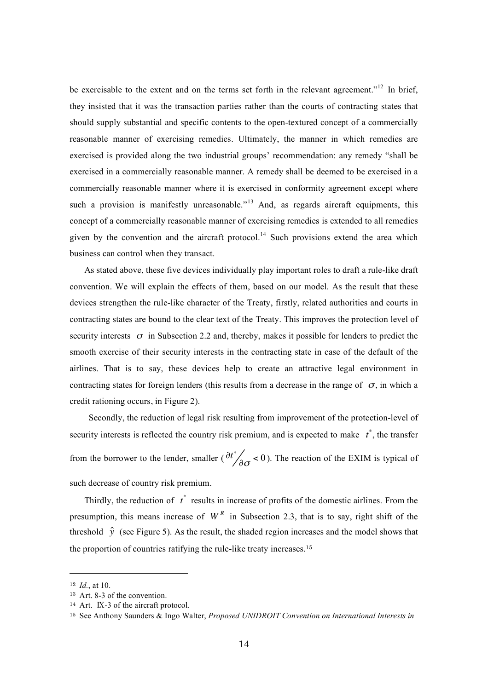be exercisable to the extent and on the terms set forth in the relevant agreement."<sup>12</sup> In brief, they insisted that it was the transaction parties rather than the courts of contracting states that should supply substantial and specific contents to the open-textured concept of a commercially reasonable manner of exercising remedies. Ultimately, the manner in which remedies are exercised is provided along the two industrial groups' recommendation: any remedy "shall be exercised in a commercially reasonable manner. A remedy shall be deemed to be exercised in a commercially reasonable manner where it is exercised in conformity agreement except where such a provision is manifestly unreasonable.<sup> $13$ </sup> And, as regards aircraft equipments, this concept of a commercially reasonable manner of exercising remedies is extended to all remedies given by the convention and the aircraft protocol.<sup>14</sup> Such provisions extend the area which business can control when they transact.

As stated above, these five devices individually play important roles to draft a rule-like draft convention. We will explain the effects of them, based on our model. As the result that these devices strengthen the rule-like character of the Treaty, firstly, related authorities and courts in contracting states are bound to the clear text of the Treaty. This improves the protection level of security interests  $\sigma$  in Subsection 2.2 and, thereby, makes it possible for lenders to predict the smooth exercise of their security interests in the contracting state in case of the default of the airlines. That is to say, these devices help to create an attractive legal environment in contracting states for foreign lenders (this results from a decrease in the range of  $\sigma$ , in which a credit rationing occurs, in Figure 2).

Secondly, the reduction of legal risk resulting from improvement of the protection-level of security interests is reflected the country risk premium, and is expected to make *t* \* , the transfer from the borrower to the lender, smaller ( $\partial t^* / \partial \sigma < 0$ ). The reaction of the EXIM is typical of such decrease of country risk premium.

Thirdly, the reduction of  $t^*$  results in increase of profits of the domestic airlines. From the presumption, this means increase of  $W<sup>R</sup>$  in Subsection 2.3, that is to say, right shift of the threshold  $\hat{y}$  (see Figure 5). As the result, the shaded region increases and the model shows that the proportion of countries ratifying the rule-like treaty increases. 15

|<br>|<br>|

<sup>12</sup> *Id.*, at 10.

<sup>13</sup> Art. 8-3 of the convention.

<sup>14</sup> Art. Ⅸ-3 of the aircraft protocol.

<sup>15</sup> See Anthony Saunders & Ingo Walter, *Proposed UNIDROIT Convention on International Interests in*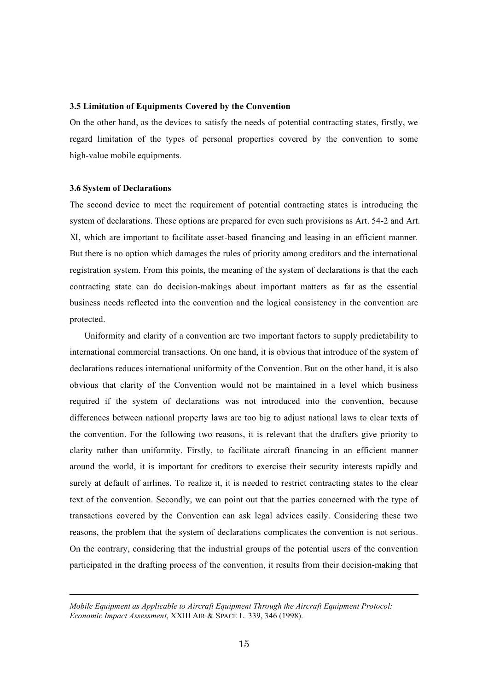## **3.5 Limitation of Equipments Covered by the Convention**

On the other hand, as the devices to satisfy the needs of potential contracting states, firstly, we regard limitation of the types of personal properties covered by the convention to some high-value mobile equipments.

## **3.6 System of Declarations**

l

The second device to meet the requirement of potential contracting states is introducing the system of declarations. These options are prepared for even such provisions as Art. 54-2 and Art. Ⅺ, which are important to facilitate asset-based financing and leasing in an efficient manner. But there is no option which damages the rules of priority among creditors and the international registration system. From this points, the meaning of the system of declarations is that the each contracting state can do decision-makings about important matters as far as the essential business needs reflected into the convention and the logical consistency in the convention are protected.

Uniformity and clarity of a convention are two important factors to supply predictability to international commercial transactions. On one hand, it is obvious that introduce of the system of declarations reduces international uniformity of the Convention. But on the other hand, it is also obvious that clarity of the Convention would not be maintained in a level which business required if the system of declarations was not introduced into the convention, because differences between national property laws are too big to adjust national laws to clear texts of the convention. For the following two reasons, it is relevant that the drafters give priority to clarity rather than uniformity. Firstly, to facilitate aircraft financing in an efficient manner around the world, it is important for creditors to exercise their security interests rapidly and surely at default of airlines. To realize it, it is needed to restrict contracting states to the clear text of the convention. Secondly, we can point out that the parties concerned with the type of transactions covered by the Convention can ask legal advices easily. Considering these two reasons, the problem that the system of declarations complicates the convention is not serious. On the contrary, considering that the industrial groups of the potential users of the convention participated in the drafting process of the convention, it results from their decision-making that

*Mobile Equipment as Applicable to Aircraft Equipment Through the Aircraft Equipment Protocol: Economic Impact Assessment*, XXIII AIR & SPACE L. 339, 346 (1998).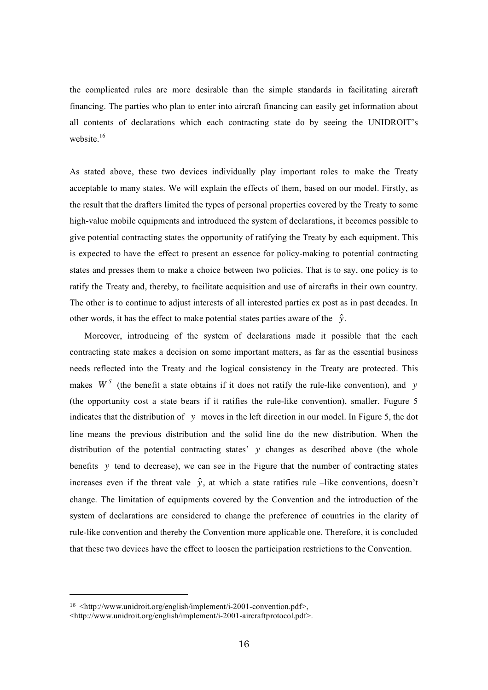the complicated rules are more desirable than the simple standards in facilitating aircraft financing. The parties who plan to enter into aircraft financing can easily get information about all contents of declarations which each contracting state do by seeing the UNIDROIT's website.<sup>16</sup>

As stated above, these two devices individually play important roles to make the Treaty acceptable to many states. We will explain the effects of them, based on our model. Firstly, as the result that the drafters limited the types of personal properties covered by the Treaty to some high-value mobile equipments and introduced the system of declarations, it becomes possible to give potential contracting states the opportunity of ratifying the Treaty by each equipment. This is expected to have the effect to present an essence for policy-making to potential contracting states and presses them to make a choice between two policies. That is to say, one policy is to ratify the Treaty and, thereby, to facilitate acquisition and use of aircrafts in their own country. The other is to continue to adjust interests of all interested parties ex post as in past decades. In other words, it has the effect to make potential states parties aware of the  $\hat{y}$ .

needs reflected into the Treaty and the logical consistency in the Treaty are protected. This Moreover, introducing of the system of declarations made it possible that the each contracting state makes a decision on some important matters, as far as the essential business makes  $W<sup>S</sup>$  (the benefit a state obtains if it does not ratify the rule-like convention), and y line means the previous distribution and the solid line do the new distribution. When the (the opportunity cost a state bears if it ratifies the rule-like convention), smaller. Fugure 5 indicates that the distribution of *y* moves in the left direction in our model. In Figure 5, the dot benefits y tend to decrease), we can see in the Figure that the number of contracting states distribution of the potential contracting states' *y* changes as described above (the whole ! change. The limitation of equipments covered by the Convention and the introduction of the increases even if the threat vale  $\hat{y}$ , at which a state ratifies rule –like conventions, doesn't ! rule-like convention and thereby the Convention more applicable one. Therefore, it is concluded system of declarations are considered to change the preference of countries in the clarity of that these two devices have the effect to loosen the participation restrictions to the Convention.

 $16$  <http://www.unidroit.org/english/implement/i-2001-convention.pdf>.

<sup>&</sup>lt;http://www.unidroit.org/english/implement/i-2001-aircraftprotocol.pdf>.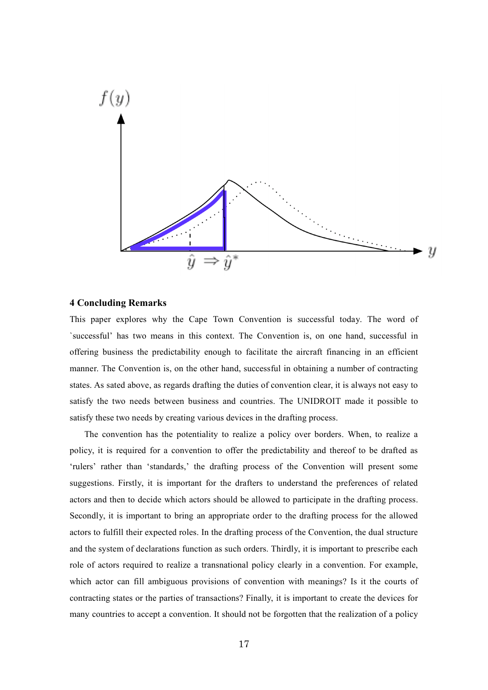

# **4 Concluding Remarks**

This paper explores why the Cape Town Convention is successful today. The word of `successful' has two means in this context. The Convention is, on one hand, successful in offering business the predictability enough to facilitate the aircraft financing in an efficient manner. The Convention is, on the other hand, successful in obtaining a number of contracting states. As sated above, as regards drafting the duties of convention clear, it is always not easy to satisfy the two needs between business and countries. The UNIDROIT made it possible to satisfy these two needs by creating various devices in the drafting process.

The convention has the potentiality to realize a policy over borders. When, to realize a policy, it is required for a convention to offer the predictability and thereof to be drafted as 'rulers' rather than 'standards,' the drafting process of the Convention will present some suggestions. Firstly, it is important for the drafters to understand the preferences of related actors and then to decide which actors should be allowed to participate in the drafting process. Secondly, it is important to bring an appropriate order to the drafting process for the allowed actors to fulfill their expected roles. In the drafting process of the Convention, the dual structure and the system of declarations function as such orders. Thirdly, it is important to prescribe each role of actors required to realize a transnational policy clearly in a convention. For example, which actor can fill ambiguous provisions of convention with meanings? Is it the courts of contracting states or the parties of transactions? Finally, it is important to create the devices for many countries to accept a convention. It should not be forgotten that the realization of a policy